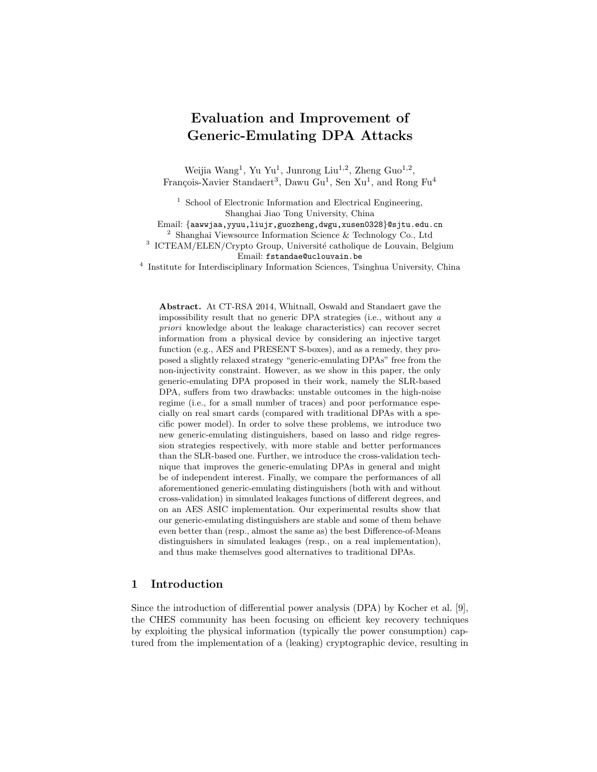# Evaluation and Improvement of Generic-Emulating DPA Attacks

Weijia Wang<sup>1</sup>, Yu Yu<sup>1</sup>, Junrong Liu<sup>1,2</sup>, Zheng Guo<sup>1,2</sup>, François-Xavier Standaert<sup>3</sup>, Dawu Gu<sup>1</sup>, Sen Xu<sup>1</sup>, and Rong Fu<sup>4</sup>

 $^{\rm 1}$  School of Electronic Information and Electrical Engineering, Shanghai Jiao Tong University, China

Email: {aawwjaa,yyuu,liujr,guozheng,dwgu,xusen0328}@sjtu.edu.cn <sup>2</sup> Shanghai Viewsource Information Science & Technology Co., Ltd 3 ICTEAM/ELEN/Crypto Group, Université catholique de Louvain, Belgium

Email: fstandae@uclouvain.be

<sup>4</sup> Institute for Interdisciplinary Information Sciences, Tsinghua University, China

Abstract. At CT-RSA 2014, Whitnall, Oswald and Standaert gave the impossibility result that no generic DPA strategies (i.e., without any a priori knowledge about the leakage characteristics) can recover secret information from a physical device by considering an injective target function (e.g., AES and PRESENT S-boxes), and as a remedy, they proposed a slightly relaxed strategy "generic-emulating DPAs" free from the non-injectivity constraint. However, as we show in this paper, the only generic-emulating DPA proposed in their work, namely the SLR-based DPA, suffers from two drawbacks: unstable outcomes in the high-noise regime (i.e., for a small number of traces) and poor performance especially on real smart cards (compared with traditional DPAs with a specific power model). In order to solve these problems, we introduce two new generic-emulating distinguishers, based on lasso and ridge regression strategies respectively, with more stable and better performances than the SLR-based one. Further, we introduce the cross-validation technique that improves the generic-emulating DPAs in general and might be of independent interest. Finally, we compare the performances of all aforementioned generic-emulating distinguishers (both with and without cross-validation) in simulated leakages functions of different degrees, and on an AES ASIC implementation. Our experimental results show that our generic-emulating distinguishers are stable and some of them behave even better than (resp., almost the same as) the best Difference-of-Means distinguishers in simulated leakages (resp., on a real implementation), and thus make themselves good alternatives to traditional DPAs.

# 1 Introduction

Since the introduction of differential power analysis (DPA) by Kocher et al. [9], the CHES community has been focusing on efficient key recovery techniques by exploiting the physical information (typically the power consumption) captured from the implementation of a (leaking) cryptographic device, resulting in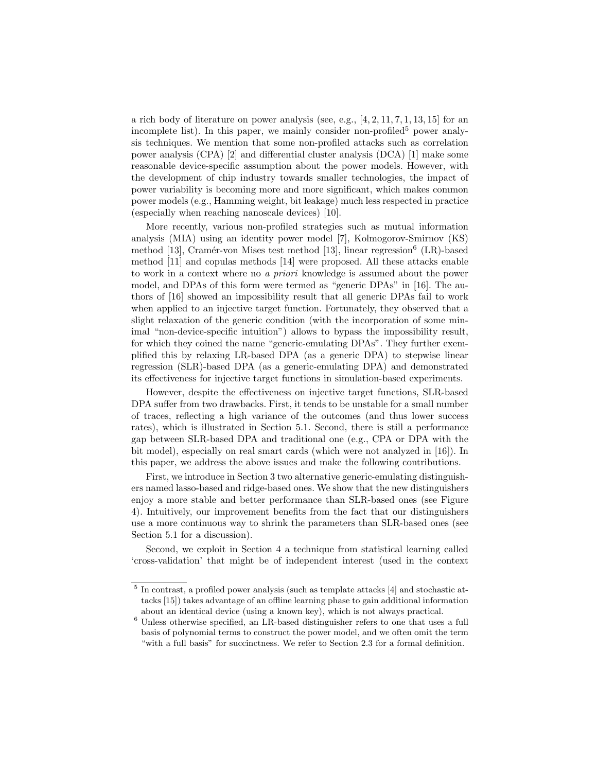a rich body of literature on power analysis (see, e.g.,  $[4, 2, 11, 7, 1, 13, 15]$  for an incomplete list). In this paper, we mainly consider non-profiled<sup>5</sup> power analysis techniques. We mention that some non-profiled attacks such as correlation power analysis (CPA) [2] and differential cluster analysis (DCA) [1] make some reasonable device-specific assumption about the power models. However, with the development of chip industry towards smaller technologies, the impact of power variability is becoming more and more significant, which makes common power models (e.g., Hamming weight, bit leakage) much less respected in practice (especially when reaching nanoscale devices) [10].

More recently, various non-profiled strategies such as mutual information analysis (MIA) using an identity power model [7], Kolmogorov-Smirnov (KS) method [13], Cramér-von Mises test method [13], linear regression<sup>6</sup> (LR)-based method [11] and copulas methods [14] were proposed. All these attacks enable to work in a context where no a priori knowledge is assumed about the power model, and DPAs of this form were termed as "generic DPAs" in [16]. The authors of [16] showed an impossibility result that all generic DPAs fail to work when applied to an injective target function. Fortunately, they observed that a slight relaxation of the generic condition (with the incorporation of some minimal "non-device-specific intuition") allows to bypass the impossibility result, for which they coined the name "generic-emulating DPAs". They further exemplified this by relaxing LR-based DPA (as a generic DPA) to stepwise linear regression (SLR)-based DPA (as a generic-emulating DPA) and demonstrated its effectiveness for injective target functions in simulation-based experiments.

However, despite the effectiveness on injective target functions, SLR-based DPA suffer from two drawbacks. First, it tends to be unstable for a small number of traces, reflecting a high variance of the outcomes (and thus lower success rates), which is illustrated in Section 5.1. Second, there is still a performance gap between SLR-based DPA and traditional one (e.g., CPA or DPA with the bit model), especially on real smart cards (which were not analyzed in [16]). In this paper, we address the above issues and make the following contributions.

First, we introduce in Section 3 two alternative generic-emulating distinguishers named lasso-based and ridge-based ones. We show that the new distinguishers enjoy a more stable and better performance than SLR-based ones (see Figure 4). Intuitively, our improvement benefits from the fact that our distinguishers use a more continuous way to shrink the parameters than SLR-based ones (see Section 5.1 for a discussion).

Second, we exploit in Section 4 a technique from statistical learning called 'cross-validation' that might be of independent interest (used in the context

<sup>5</sup> In contrast, a profiled power analysis (such as template attacks [4] and stochastic attacks [15]) takes advantage of an offline learning phase to gain additional information about an identical device (using a known key), which is not always practical.

<sup>6</sup> Unless otherwise specified, an LR-based distinguisher refers to one that uses a full basis of polynomial terms to construct the power model, and we often omit the term "with a full basis" for succinctness. We refer to Section 2.3 for a formal definition.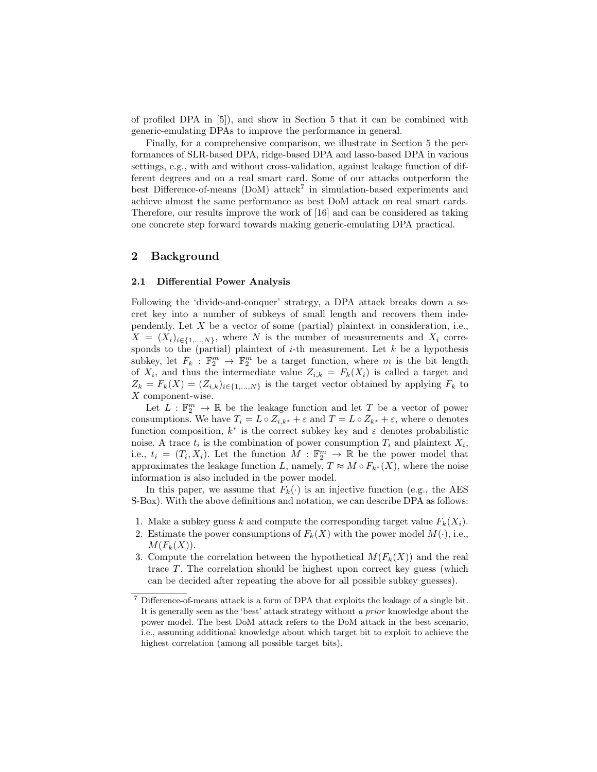of profiled DPA in [5]), and show in Section 5 that it can be combined with generic-emulating DPAs to improve the performance in general.

Finally, for a comprehensive comparison, we illustrate in Section 5 the performances of SLR-based DPA, ridge-based DPA and lasso-based DPA in various settings, e.g., with and without cross-validation, against leakage function of different degrees and on a real smart card. Some of our attacks outperform the best Difference-of-means (DoM) attack<sup>7</sup> in simulation-based experiments and achieve almost the same performance as best DoM attack on real smart cards. Therefore, our results improve the work of [16] and can be considered as taking one concrete step forward towards making generic-emulating DPA practical.

# 2 Background

#### 2.1 Differential Power Analysis

Following the 'divide-and-conquer' strategy, a DPA attack breaks down a secret key into a number of subkeys of small length and recovers them independently. Let  $X$  be a vector of some (partial) plaintext in consideration, i.e.,  $X = (X_i)_{i \in \{1,...,N\}}$ , where N is the number of measurements and  $X_i$  corresponds to the (partial) plaintext of  $i$ -th measurement. Let  $k$  be a hypothesis subkey, let  $F_k : \mathbb{F}_2^m \to \mathbb{F}_2^m$  be a target function, where m is the bit length of  $X_i$ , and thus the intermediate value  $Z_{i,k} = F_k(X_i)$  is called a target and  $Z_k = F_k(X) = (Z_{i,k})_{i \in \{1,...,N\}}$  is the target vector obtained by applying  $F_k$  to X component-wise.

Let  $L : \mathbb{F}_2^m \to \mathbb{R}$  be the leakage function and let T be a vector of power consumptions. We have  $T_i = L \circ Z_{i,k^*} + \varepsilon$  and  $T = L \circ Z_{k^*} + \varepsilon$ , where  $\circ$  denotes function composition,  $k^*$  is the correct subkey key and  $\varepsilon$  denotes probabilistic noise. A trace  $t_i$  is the combination of power consumption  $T_i$  and plaintext  $X_i$ , i.e.,  $t_i = (T_i, X_i)$ . Let the function  $\overline{M} : \mathbb{F}_2^m \to \mathbb{R}$  be the power model that approximates the leakage function L, namely,  $T \approx M \circ F_{k^*}(X)$ , where the noise information is also included in the power model.

In this paper, we assume that  $F_k(\cdot)$  is an injective function (e.g., the AES S-Box). With the above definitions and notation, we can describe DPA as follows:

- 1. Make a subkey guess k and compute the corresponding target value  $F_k(X_i)$ .
- 2. Estimate the power consumptions of  $F_k(X)$  with the power model  $M(\cdot)$ , i.e.,  $M(F_k(X)).$
- 3. Compute the correlation between the hypothetical  $M(F_k(X))$  and the real trace T. The correlation should be highest upon correct key guess (which can be decided after repeating the above for all possible subkey guesses).

<sup>7</sup> Difference-of-means attack is a form of DPA that exploits the leakage of a single bit. It is generally seen as the 'best' attack strategy without a prior knowledge about the power model. The best DoM attack refers to the DoM attack in the best scenario, i.e., assuming additional knowledge about which target bit to exploit to achieve the highest correlation (among all possible target bits).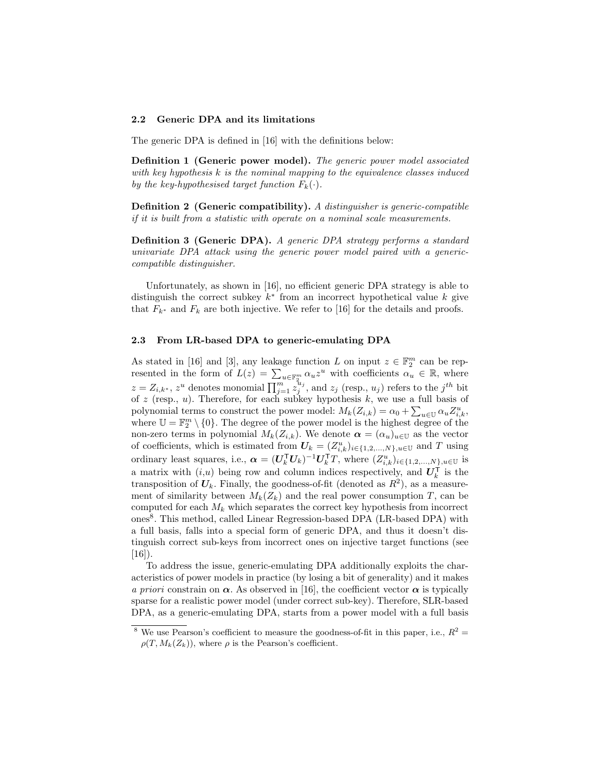#### 2.2 Generic DPA and its limitations

The generic DPA is defined in [16] with the definitions below:

Definition 1 (Generic power model). The generic power model associated with key hypothesis  $k$  is the nominal mapping to the equivalence classes induced by the key-hypothesised target function  $F_k(\cdot)$ .

Definition 2 (Generic compatibility). A distinguisher is generic-compatible if it is built from a statistic with operate on a nominal scale measurements.

Definition 3 (Generic DPA). A generic DPA strategy performs a standard univariate DPA attack using the generic power model paired with a genericcompatible distinguisher.

Unfortunately, as shown in [16], no efficient generic DPA strategy is able to distinguish the correct subkey  $k^*$  from an incorrect hypothetical value  $k$  give that  $F_{k^*}$  and  $F_k$  are both injective. We refer to [16] for the details and proofs.

## 2.3 From LR-based DPA to generic-emulating DPA

As stated in [16] and [3], any leakage function L on input  $z \in \mathbb{F}_2^m$  can be represented in the form of  $L(z) = \sum_{u \in \mathbb{F}_2^m} \alpha_u z^u$  with coefficients  $\alpha_u \in \mathbb{R}$ , where  $z = Z_{i,k^*}, z^u$  denotes monomial  $\prod_{j=1}^m z_j^{u_j}$ , and  $z_j$  (resp.,  $u_j$ ) refers to the  $j^{th}$  bit of z (resp., u). Therefore, for each subkey hypothesis  $k$ , we use a full basis of polynomial terms to construct the power model:  $M_k(Z_{i,k}) = \alpha_0 + \sum_{u \in U} \alpha_u Z_{i,k}^u$ , where  $\mathbb{U} = \mathbb{F}_2^m \setminus \{0\}$ . The degree of the power model is the highest degree of the non-zero terms in polynomial  $M_k(Z_{i,k})$ . We denote  $\alpha = (\alpha_u)_{u \in \mathbb{U}}$  as the vector of coefficients, which is estimated from  $\mathbf{U}_k = (Z_{i,k}^u)_{i \in \{1,2,\ldots,N\}, u \in \mathbb{U}}$  and T using ordinary least squares, i.e.,  $\boldsymbol{\alpha} = (\boldsymbol{U}_{k}^{\mathsf{T}} \boldsymbol{U}_{k})^{-1} \boldsymbol{U}_{k}^{\mathsf{T}} \boldsymbol{T}$ , where  $(Z_{i,k}^{u})_{i \in \{1,2,...,N\}, u \in \mathbb{U}}$  is a matrix with  $(i, u)$  being row and column indices respectively, and  $\boldsymbol{U}_k^{\mathsf{T}}$  is the transposition of  $U_k$ . Finally, the goodness-of-fit (denoted as  $R^2$ ), as a measurement of similarity between  $M_k(Z_k)$  and the real power consumption T, can be computed for each  $M_k$  which separates the correct key hypothesis from incorrect ones<sup>8</sup>. This method, called Linear Regression-based DPA (LR-based DPA) with a full basis, falls into a special form of generic DPA, and thus it doesn't distinguish correct sub-keys from incorrect ones on injective target functions (see  $[16]$ ).

To address the issue, generic-emulating DPA additionally exploits the characteristics of power models in practice (by losing a bit of generality) and it makes a priori constrain on  $\alpha$ . As observed in [16], the coefficient vector  $\alpha$  is typically sparse for a realistic power model (under correct sub-key). Therefore, SLR-based DPA, as a generic-emulating DPA, starts from a power model with a full basis

<sup>&</sup>lt;sup>8</sup> We use Pearson's coefficient to measure the goodness-of-fit in this paper, i.e.,  $R^2 =$  $\rho(T, M_k(Z_k))$ , where  $\rho$  is the Pearson's coefficient.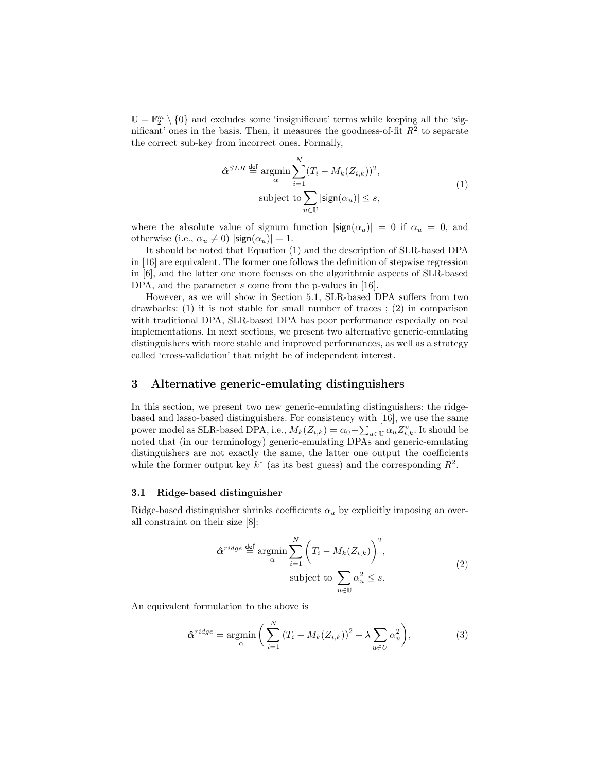$\mathbb{U}=\mathbb{F}_2^m\setminus\{0\}$  and excludes some 'insignificant' terms while keeping all the 'significant' ones in the basis. Then, it measures the goodness-of-fit  $R^2$  to separate the correct sub-key from incorrect ones. Formally,

$$
\hat{\alpha}^{SLR} \stackrel{\text{def}}{=} \operatorname*{argmin}_{\alpha} \sum_{i=1}^{N} (T_i - M_k(Z_{i,k}))^2,
$$
\n
$$
\text{subject to} \sum_{u \in \mathbb{U}} |\text{sign}(\alpha_u)| \le s,
$$
\n
$$
(1)
$$

where the absolute value of signum function  $|\text{sign}(\alpha_u)| = 0$  if  $\alpha_u = 0$ , and otherwise (i.e.,  $\alpha_u \neq 0$ )  $|\text{sign}(\alpha_u)| = 1$ .

It should be noted that Equation (1) and the description of SLR-based DPA in [16] are equivalent. The former one follows the definition of stepwise regression in [6], and the latter one more focuses on the algorithmic aspects of SLR-based DPA, and the parameter s come from the p-values in [16].

However, as we will show in Section 5.1, SLR-based DPA suffers from two drawbacks: (1) it is not stable for small number of traces ; (2) in comparison with traditional DPA, SLR-based DPA has poor performance especially on real implementations. In next sections, we present two alternative generic-emulating distinguishers with more stable and improved performances, as well as a strategy called 'cross-validation' that might be of independent interest.

## 3 Alternative generic-emulating distinguishers

In this section, we present two new generic-emulating distinguishers: the ridgebased and lasso-based distinguishers. For consistency with [16], we use the same power model as SLR-based DPA, i.e.,  $M_k(Z_{i,k}) = \alpha_0 + \sum_{u \in \mathbb{U}} \alpha_u Z_{i,k}^u$ . It should be noted that (in our terminology) generic-emulating DPAs and generic-emulating distinguishers are not exactly the same, the latter one output the coefficients while the former output key  $k^*$  (as its best guess) and the corresponding  $R^2$ .

#### 3.1 Ridge-based distinguisher

Ridge-based distinguisher shrinks coefficients  $\alpha_u$  by explicitly imposing an overall constraint on their size [8]:

$$
\hat{\alpha}^{ridge} \stackrel{\text{def}}{=} \operatorname*{argmin}_{\alpha} \sum_{i=1}^{N} \left( T_i - M_k(Z_{i,k}) \right)^2,
$$
\n
$$
\text{subject to } \sum_{u \in \mathbb{U}} \alpha_u^2 \le s.
$$
\n
$$
(2)
$$

An equivalent formulation to the above is

$$
\hat{\alpha}^{ridge} = \underset{\alpha}{\text{argmin}} \left( \sum_{i=1}^{N} \left( T_i - M_k(Z_{i,k}) \right)^2 + \lambda \sum_{u \in U} \alpha_u^2 \right), \tag{3}
$$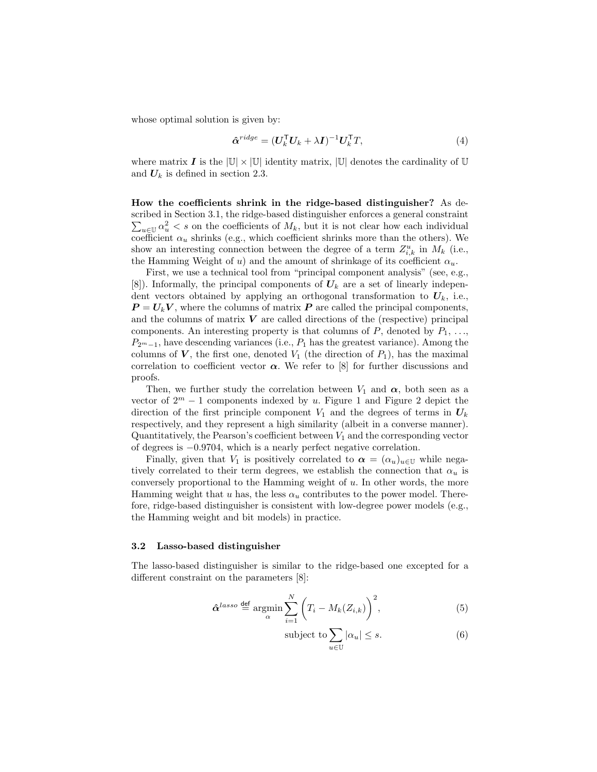whose optimal solution is given by:

$$
\hat{\alpha}^{ridge} = (U_k^{\mathsf{T}} U_k + \lambda I)^{-1} U_k^{\mathsf{T}} T,\tag{4}
$$

where matrix  $\bm{I}$  is the  $|\mathbb{U}| \times |\mathbb{U}|$  identity matrix,  $|\mathbb{U}|$  denotes the cardinality of  $\mathbb{U}$ and  $U_k$  is defined in section 2.3.

How the coefficients shrink in the ridge-based distinguisher? As described in Section 3.1, the ridge-based distinguisher enforces a general constraint  $\sum_{u\in\mathbb{U}}\alpha_u^2 < s$  on the coefficients of  $M_k$ , but it is not clear how each individual coefficient  $\alpha_u$  shrinks (e.g., which coefficient shrinks more than the others). We show an interesting connection between the degree of a term  $Z_{i,k}^u$  in  $M_k$  (i.e., the Hamming Weight of u) and the amount of shrinkage of its coefficient  $\alpha_u$ .

First, we use a technical tool from "principal component analysis" (see, e.g., [8]). Informally, the principal components of  $U_k$  are a set of linearly independent vectors obtained by applying an orthogonal transformation to  $U_k$ , i.e.,  $P = U_k V$ , where the columns of matrix P are called the principal components, and the columns of matrix  $V$  are called directions of the (respective) principal components. An interesting property is that columns of  $P$ , denoted by  $P_1, \ldots,$  $P_{2^m-1}$ , have descending variances (i.e.,  $P_1$  has the greatest variance). Among the columns of  $V$ , the first one, denoted  $V_1$  (the direction of  $P_1$ ), has the maximal correlation to coefficient vector  $\alpha$ . We refer to [8] for further discussions and proofs.

Then, we further study the correlation between  $V_1$  and  $\alpha$ , both seen as a vector of  $2^m - 1$  components indexed by u. Figure 1 and Figure 2 depict the direction of the first principle component  $V_1$  and the degrees of terms in  $U_k$ respectively, and they represent a high similarity (albeit in a converse manner). Quantitatively, the Pearson's coefficient between  $V_1$  and the corresponding vector of degrees is −0.9704, which is a nearly perfect negative correlation.

Finally, given that  $V_1$  is positively correlated to  $\alpha = (\alpha_u)_{u \in \mathbb{U}}$  while negatively correlated to their term degrees, we establish the connection that  $\alpha_u$  is conversely proportional to the Hamming weight of  $u$ . In other words, the more Hamming weight that u has, the less  $\alpha_u$  contributes to the power model. Therefore, ridge-based distinguisher is consistent with low-degree power models (e.g., the Hamming weight and bit models) in practice.

#### 3.2 Lasso-based distinguisher

The lasso-based distinguisher is similar to the ridge-based one excepted for a different constraint on the parameters [8]:

$$
\hat{\alpha}^{lasso} \stackrel{\text{def}}{=} \operatorname*{argmin}_{\alpha} \sum_{i=1}^{N} \left( T_i - M_k(Z_{i,k}) \right)^2, \tag{5}
$$

$$
subject to \sum_{u \in \mathbb{U}} |\alpha_u| \le s.
$$
 (6)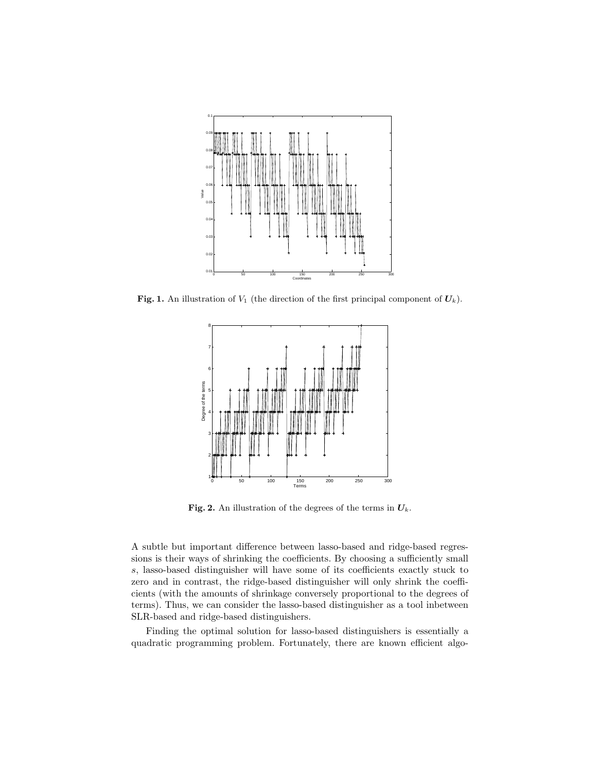

Fig. 1. An illustration of  $V_1$  (the direction of the first principal component of  $U_k$ ).



Fig. 2. An illustration of the degrees of the terms in  $U_k$ .

A subtle but important difference between lasso-based and ridge-based regressions is their ways of shrinking the coefficients. By choosing a sufficiently small s, lasso-based distinguisher will have some of its coefficients exactly stuck to zero and in contrast, the ridge-based distinguisher will only shrink the coefficients (with the amounts of shrinkage conversely proportional to the degrees of terms). Thus, we can consider the lasso-based distinguisher as a tool inbetween SLR-based and ridge-based distinguishers.

Finding the optimal solution for lasso-based distinguishers is essentially a quadratic programming problem. Fortunately, there are known efficient algo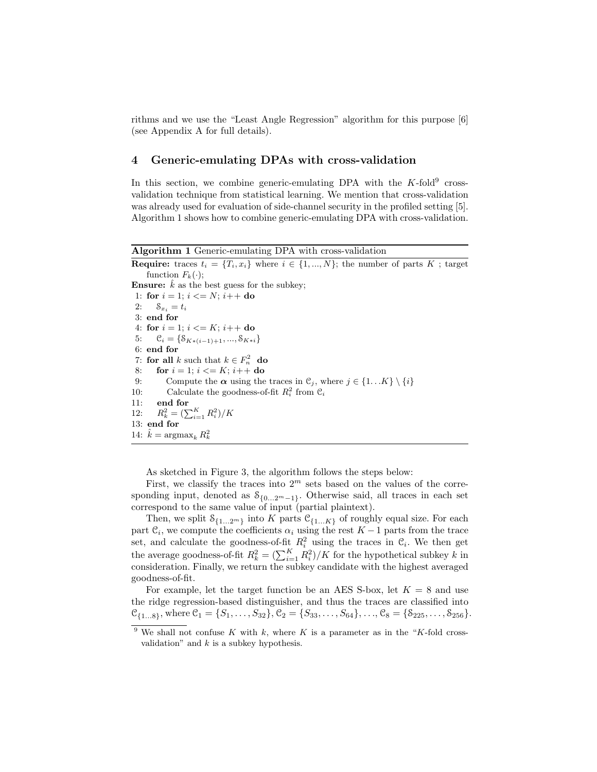rithms and we use the "Least Angle Regression" algorithm for this purpose [6] (see Appendix A for full details).

# 4 Generic-emulating DPAs with cross-validation

In this section, we combine generic-emulating DPA with the  $K$ -fold<sup>9</sup> crossvalidation technique from statistical learning. We mention that cross-validation was already used for evaluation of side-channel security in the profiled setting [5]. Algorithm 1 shows how to combine generic-emulating DPA with cross-validation.

Algorithm 1 Generic-emulating DPA with cross-validation

**Require:** traces  $t_i = \{T_i, x_i\}$  where  $i \in \{1, ..., N\}$ ; the number of parts K; target function  $F_k(\cdot)$ ; **Ensure:**  $\hat{k}$  as the best guess for the subkey; 1: for  $i = 1$ ;  $i \le N$ ;  $i++$  do 2:  $\mathcal{S}_{x_i} = t_i$ 3: end for 4: for  $i = 1$ ;  $i \le K$ ;  $i++$  do 5:  $C_i = \{S_{K*(i-1)+1}, ..., S_{K*(i)}\}$ 6: end for 7: for all k such that  $k \in F_n^2$  do 8: for  $i = 1; i <= K; i++$  do 9: Compute the  $\alpha$  using the traces in  $\mathcal{C}_j$ , where  $j \in \{1...K\} \setminus \{i\}$ 10: Calculate the goodness-of-fit  $R_i^2$  from  $\mathcal{C}_i$ 11: end for  $12:$  $k_i^2 = (\sum_{i=1}^K R_i^2)/K_i$ 13: end for 14:  $\hat{k} = \operatorname{argmax}_{k} R_k^2$ 

As sketched in Figure 3, the algorithm follows the steps below:

First, we classify the traces into  $2^m$  sets based on the values of the corresponding input, denoted as  $S_{0...2^m-1}$ . Otherwise said, all traces in each set correspond to the same value of input (partial plaintext).

Then, we split  $\mathcal{S}_{\{1...2^m\}}$  into K parts  $\mathcal{C}_{\{1...K\}}$  of roughly equal size. For each part  $\mathcal{C}_i$ , we compute the coefficients  $\alpha_i$  using the rest  $K-1$  parts from the trace set, and calculate the goodness-of-fit  $R_i^2$  using the traces in  $\mathcal{C}_i$ . We then get the average goodness-of-fit  $R_k^2 = (\sum_{i=1}^K R_i^2)/K$  for the hypothetical subkey  $k$  in consideration. Finally, we return the subkey candidate with the highest averaged goodness-of-fit.

For example, let the target function be an AES S-box, let  $K = 8$  and use the ridge regression-based distinguisher, and thus the traces are classified into  $\mathcal{C}_{\{1...8\}}$ , where  $\mathcal{C}_1 = \{S_1, \ldots, S_{32}\}, \mathcal{C}_2 = \{S_{33}, \ldots, S_{64}\}, \ldots, \mathcal{C}_8 = \{\mathcal{S}_{225}, \ldots, \mathcal{S}_{256}\}.$ 

<sup>&</sup>lt;sup>9</sup> We shall not confuse K with k, where K is a parameter as in the "K-fold crossvalidation" and  $k$  is a subkey hypothesis.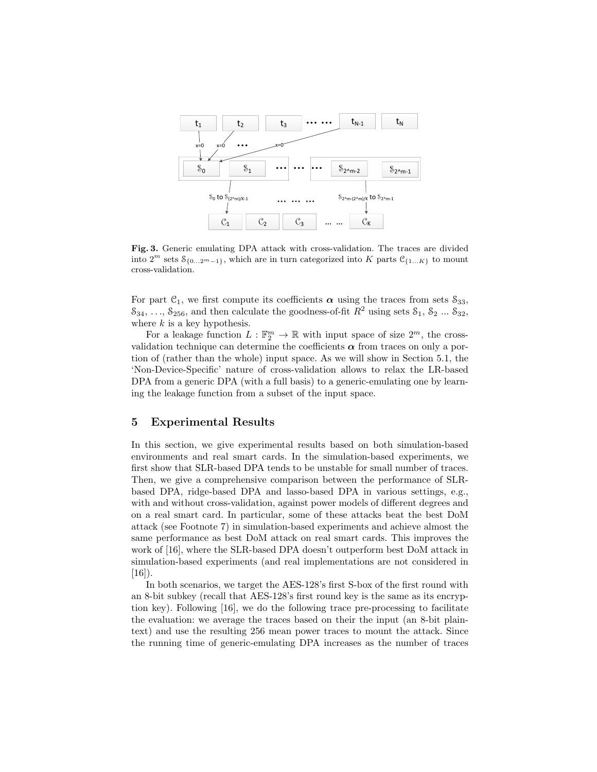

Fig. 3. Generic emulating DPA attack with cross-validation. The traces are divided into  $2^m$  sets  $\mathcal{S}_{\{0...2^m-1\}}$ , which are in turn categorized into K parts  $\mathcal{C}_{\{1...K\}}$  to mount cross-validation.

For part  $\mathcal{C}_1$ , we first compute its coefficients  $\alpha$  using the traces from sets  $\mathcal{S}_{33}$ ,  $S_{34}$ , ...,  $S_{256}$ , and then calculate the goodness-of-fit  $R^2$  using sets  $S_1$ ,  $S_2$  ...  $S_{32}$ , where  $k$  is a key hypothesis.

For a leakage function  $L : \mathbb{F}_2^m \to \mathbb{R}$  with input space of size  $2^m$ , the crossvalidation technique can determine the coefficients  $\alpha$  from traces on only a portion of (rather than the whole) input space. As we will show in Section 5.1, the 'Non-Device-Specific' nature of cross-validation allows to relax the LR-based DPA from a generic DPA (with a full basis) to a generic-emulating one by learning the leakage function from a subset of the input space.

# 5 Experimental Results

In this section, we give experimental results based on both simulation-based environments and real smart cards. In the simulation-based experiments, we first show that SLR-based DPA tends to be unstable for small number of traces. Then, we give a comprehensive comparison between the performance of SLRbased DPA, ridge-based DPA and lasso-based DPA in various settings, e.g., with and without cross-validation, against power models of different degrees and on a real smart card. In particular, some of these attacks beat the best DoM attack (see Footnote 7) in simulation-based experiments and achieve almost the same performance as best DoM attack on real smart cards. This improves the work of [16], where the SLR-based DPA doesn't outperform best DoM attack in simulation-based experiments (and real implementations are not considered in  $[16]$ .

In both scenarios, we target the AES-128's first S-box of the first round with an 8-bit subkey (recall that AES-128's first round key is the same as its encryption key). Following [16], we do the following trace pre-processing to facilitate the evaluation: we average the traces based on their the input (an 8-bit plaintext) and use the resulting 256 mean power traces to mount the attack. Since the running time of generic-emulating DPA increases as the number of traces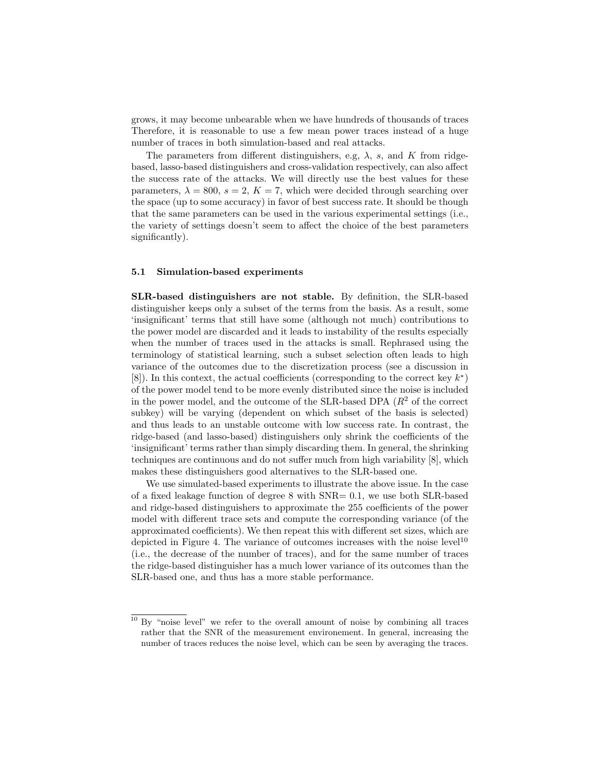grows, it may become unbearable when we have hundreds of thousands of traces Therefore, it is reasonable to use a few mean power traces instead of a huge number of traces in both simulation-based and real attacks.

The parameters from different distinguishers, e.g,  $\lambda$ , s, and K from ridgebased, lasso-based distinguishers and cross-validation respectively, can also affect the success rate of the attacks. We will directly use the best values for these parameters,  $\lambda = 800$ ,  $s = 2$ ,  $K = 7$ , which were decided through searching over the space (up to some accuracy) in favor of best success rate. It should be though that the same parameters can be used in the various experimental settings (i.e., the variety of settings doesn't seem to affect the choice of the best parameters significantly).

### 5.1 Simulation-based experiments

SLR-based distinguishers are not stable. By definition, the SLR-based distinguisher keeps only a subset of the terms from the basis. As a result, some 'insignificant' terms that still have some (although not much) contributions to the power model are discarded and it leads to instability of the results especially when the number of traces used in the attacks is small. Rephrased using the terminology of statistical learning, such a subset selection often leads to high variance of the outcomes due to the discretization process (see a discussion in [8]). In this context, the actual coefficients (corresponding to the correct key  $k^*$ ) of the power model tend to be more evenly distributed since the noise is included in the power model, and the outcome of the SLR-based DPA  $(R^2$  of the correct subkey) will be varying (dependent on which subset of the basis is selected) and thus leads to an unstable outcome with low success rate. In contrast, the ridge-based (and lasso-based) distinguishers only shrink the coefficients of the 'insignificant' terms rather than simply discarding them. In general, the shrinking techniques are continuous and do not suffer much from high variability [8], which makes these distinguishers good alternatives to the SLR-based one.

We use simulated-based experiments to illustrate the above issue. In the case of a fixed leakage function of degree 8 with  $SNR = 0.1$ , we use both SLR-based and ridge-based distinguishers to approximate the 255 coefficients of the power model with different trace sets and compute the corresponding variance (of the approximated coefficients). We then repeat this with different set sizes, which are depicted in Figure 4. The variance of outcomes increases with the noise level<sup>10</sup> (i.e., the decrease of the number of traces), and for the same number of traces the ridge-based distinguisher has a much lower variance of its outcomes than the SLR-based one, and thus has a more stable performance.

 $10$  By "noise level" we refer to the overall amount of noise by combining all traces rather that the SNR of the measurement environement. In general, increasing the number of traces reduces the noise level, which can be seen by averaging the traces.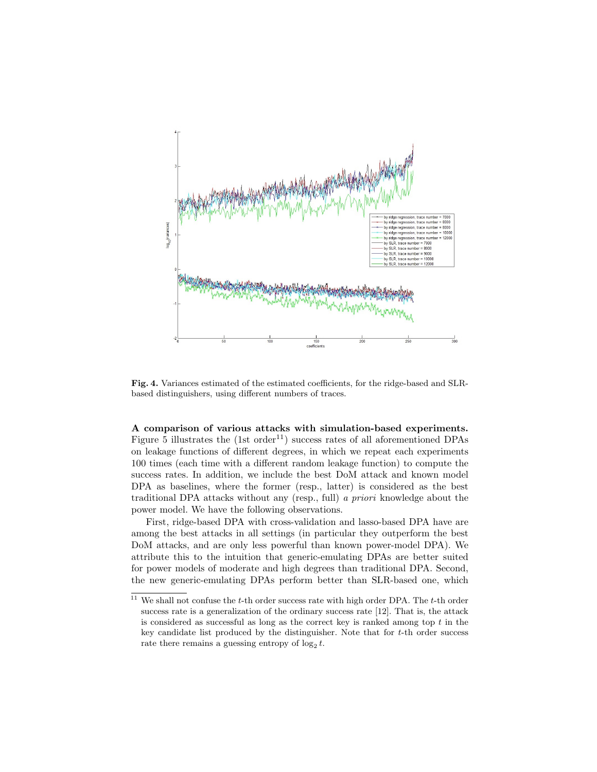

Fig. 4. Variances estimated of the estimated coefficients, for the ridge-based and SLRbased distinguishers, using different numbers of traces.

A comparison of various attacks with simulation-based experiments. Figure 5 illustrates the  $(1st order<sup>11</sup>)$  success rates of all aforementioned DPAs on leakage functions of different degrees, in which we repeat each experiments 100 times (each time with a different random leakage function) to compute the success rates. In addition, we include the best DoM attack and known model DPA as baselines, where the former (resp., latter) is considered as the best traditional DPA attacks without any (resp., full) a priori knowledge about the power model. We have the following observations.

First, ridge-based DPA with cross-validation and lasso-based DPA have are among the best attacks in all settings (in particular they outperform the best DoM attacks, and are only less powerful than known power-model DPA). We attribute this to the intuition that generic-emulating DPAs are better suited for power models of moderate and high degrees than traditional DPA. Second, the new generic-emulating DPAs perform better than SLR-based one, which

 $11$  We shall not confuse the t-th order success rate with high order DPA. The t-th order success rate is a generalization of the ordinary success rate [12]. That is, the attack is considered as successful as long as the correct key is ranked among top  $t$  in the key candidate list produced by the distinguisher. Note that for  $t$ -th order success rate there remains a guessing entropy of  $\log_2 t$ .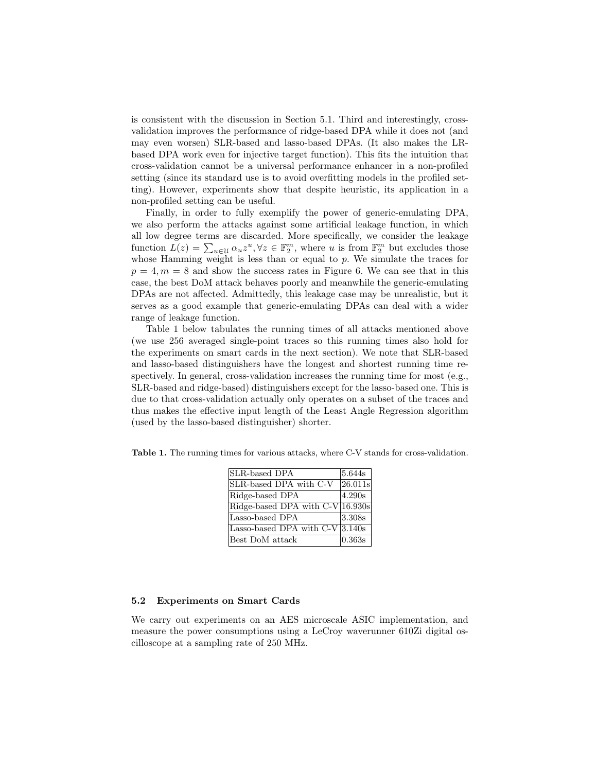is consistent with the discussion in Section 5.1. Third and interestingly, crossvalidation improves the performance of ridge-based DPA while it does not (and may even worsen) SLR-based and lasso-based DPAs. (It also makes the LRbased DPA work even for injective target function). This fits the intuition that cross-validation cannot be a universal performance enhancer in a non-profiled setting (since its standard use is to avoid overfitting models in the profiled setting). However, experiments show that despite heuristic, its application in a non-profiled setting can be useful.

Finally, in order to fully exemplify the power of generic-emulating DPA, we also perform the attacks against some artificial leakage function, in which all low degree terms are discarded. More specifically, we consider the leakage function  $L(z) = \sum_{u \in \mathcal{U}} \alpha_u z^u, \forall z \in \mathbb{F}_2^m$ , where u is from  $\mathbb{F}_2^m$  but excludes those whose Hamming weight is less than or equal to  $p$ . We simulate the traces for  $p = 4, m = 8$  and show the success rates in Figure 6. We can see that in this case, the best DoM attack behaves poorly and meanwhile the generic-emulating DPAs are not affected. Admittedly, this leakage case may be unrealistic, but it serves as a good example that generic-emulating DPAs can deal with a wider range of leakage function.

Table 1 below tabulates the running times of all attacks mentioned above (we use 256 averaged single-point traces so this running times also hold for the experiments on smart cards in the next section). We note that SLR-based and lasso-based distinguishers have the longest and shortest running time respectively. In general, cross-validation increases the running time for most (e.g., SLR-based and ridge-based) distinguishers except for the lasso-based one. This is due to that cross-validation actually only operates on a subset of the traces and thus makes the effective input length of the Least Angle Regression algorithm (used by the lasso-based distinguisher) shorter.

Table 1. The running times for various attacks, where C-V stands for cross-validation.

| SLR-based DPA                                                 | 5.644s  |
|---------------------------------------------------------------|---------|
| SLR-based DPA with C-V                                        | 26.011s |
| Ridge-based DPA                                               | 4.290s  |
| Ridge-based DPA with C-V 16.930s                              |         |
| Lasso-based DPA                                               | 3.308s  |
| Lasso-based DPA with $C\text{-}\overline{V}\overline{3.140s}$ |         |
| Best DoM attack                                               | 0.363s  |

## 5.2 Experiments on Smart Cards

We carry out experiments on an AES microscale ASIC implementation, and measure the power consumptions using a LeCroy waverunner 610Zi digital oscilloscope at a sampling rate of 250 MHz.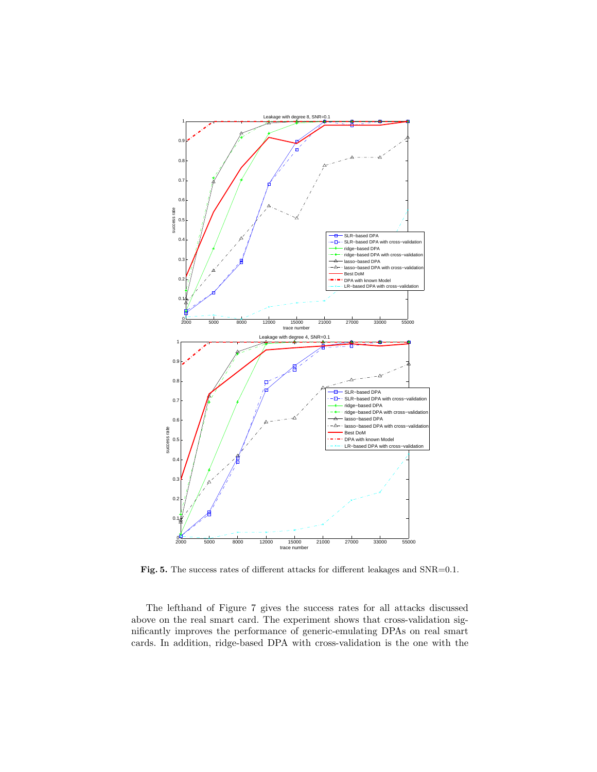

Fig. 5. The success rates of different attacks for different leakages and SNR=0.1.

The lefthand of Figure 7 gives the success rates for all attacks discussed above on the real smart card. The experiment shows that cross-validation significantly improves the performance of generic-emulating DPAs on real smart cards. In addition, ridge-based DPA with cross-validation is the one with the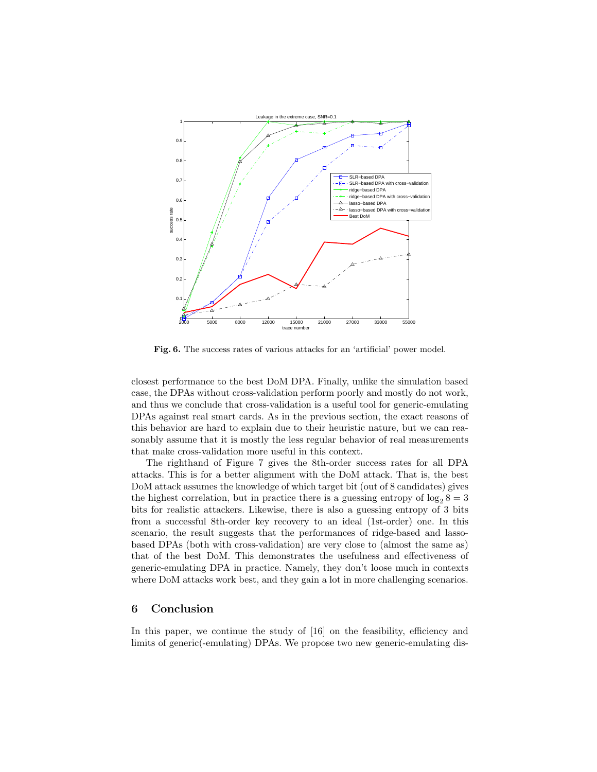

Fig. 6. The success rates of various attacks for an 'artificial' power model.

closest performance to the best DoM DPA. Finally, unlike the simulation based case, the DPAs without cross-validation perform poorly and mostly do not work, and thus we conclude that cross-validation is a useful tool for generic-emulating DPAs against real smart cards. As in the previous section, the exact reasons of this behavior are hard to explain due to their heuristic nature, but we can reasonably assume that it is mostly the less regular behavior of real measurements that make cross-validation more useful in this context.

The righthand of Figure 7 gives the 8th-order success rates for all DPA attacks. This is for a better alignment with the DoM attack. That is, the best DoM attack assumes the knowledge of which target bit (out of 8 candidates) gives the highest correlation, but in practice there is a guessing entropy of  $\log_2 8 = 3$ bits for realistic attackers. Likewise, there is also a guessing entropy of 3 bits from a successful 8th-order key recovery to an ideal (1st-order) one. In this scenario, the result suggests that the performances of ridge-based and lassobased DPAs (both with cross-validation) are very close to (almost the same as) that of the best DoM. This demonstrates the usefulness and effectiveness of generic-emulating DPA in practice. Namely, they don't loose much in contexts where DoM attacks work best, and they gain a lot in more challenging scenarios.

## 6 Conclusion

In this paper, we continue the study of [16] on the feasibility, efficiency and limits of generic(-emulating) DPAs. We propose two new generic-emulating dis-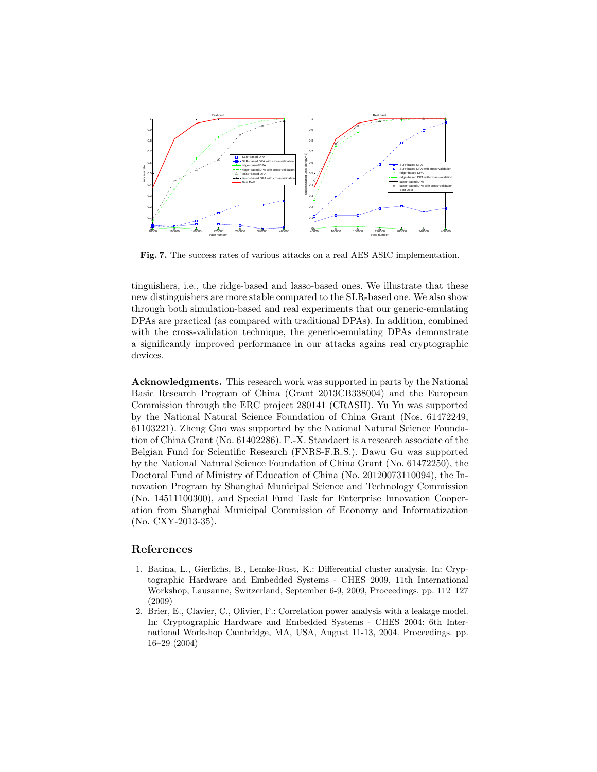

Fig. 7. The success rates of various attacks on a real AES ASIC implementation.

tinguishers, i.e., the ridge-based and lasso-based ones. We illustrate that these new distinguishers are more stable compared to the SLR-based one. We also show through both simulation-based and real experiments that our generic-emulating DPAs are practical (as compared with traditional DPAs). In addition, combined with the cross-validation technique, the generic-emulating DPAs demonstrate a significantly improved performance in our attacks agains real cryptographic devices.

Acknowledgments. This research work was supported in parts by the National Basic Research Program of China (Grant 2013CB338004) and the European Commission through the ERC project 280141 (CRASH). Yu Yu was supported by the National Natural Science Foundation of China Grant (Nos. 61472249, 61103221). Zheng Guo was supported by the National Natural Science Foundation of China Grant (No. 61402286). F.-X. Standaert is a research associate of the Belgian Fund for Scientific Research (FNRS-F.R.S.). Dawu Gu was supported by the National Natural Science Foundation of China Grant (No. 61472250), the Doctoral Fund of Ministry of Education of China (No. 20120073110094), the Innovation Program by Shanghai Municipal Science and Technology Commission (No. 14511100300), and Special Fund Task for Enterprise Innovation Cooperation from Shanghai Municipal Commission of Economy and Informatization (No. CXY-2013-35).

## References

- 1. Batina, L., Gierlichs, B., Lemke-Rust, K.: Differential cluster analysis. In: Cryptographic Hardware and Embedded Systems - CHES 2009, 11th International Workshop, Lausanne, Switzerland, September 6-9, 2009, Proceedings. pp. 112–127 (2009)
- 2. Brier, E., Clavier, C., Olivier, F.: Correlation power analysis with a leakage model. In: Cryptographic Hardware and Embedded Systems - CHES 2004: 6th International Workshop Cambridge, MA, USA, August 11-13, 2004. Proceedings. pp. 16–29 (2004)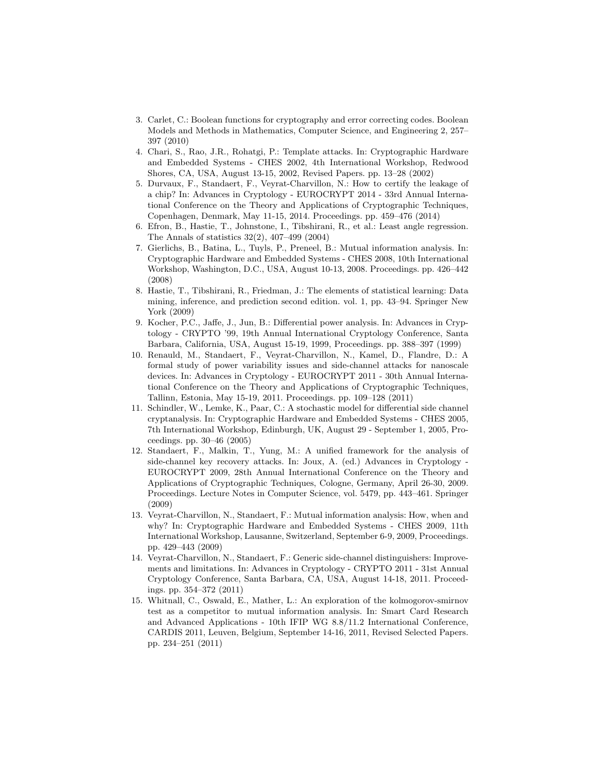- 3. Carlet, C.: Boolean functions for cryptography and error correcting codes. Boolean Models and Methods in Mathematics, Computer Science, and Engineering 2, 257– 397 (2010)
- 4. Chari, S., Rao, J.R., Rohatgi, P.: Template attacks. In: Cryptographic Hardware and Embedded Systems - CHES 2002, 4th International Workshop, Redwood Shores, CA, USA, August 13-15, 2002, Revised Papers. pp. 13–28 (2002)
- 5. Durvaux, F., Standaert, F., Veyrat-Charvillon, N.: How to certify the leakage of a chip? In: Advances in Cryptology - EUROCRYPT 2014 - 33rd Annual International Conference on the Theory and Applications of Cryptographic Techniques, Copenhagen, Denmark, May 11-15, 2014. Proceedings. pp. 459–476 (2014)
- 6. Efron, B., Hastie, T., Johnstone, I., Tibshirani, R., et al.: Least angle regression. The Annals of statistics 32(2), 407–499 (2004)
- 7. Gierlichs, B., Batina, L., Tuyls, P., Preneel, B.: Mutual information analysis. In: Cryptographic Hardware and Embedded Systems - CHES 2008, 10th International Workshop, Washington, D.C., USA, August 10-13, 2008. Proceedings. pp. 426–442 (2008)
- 8. Hastie, T., Tibshirani, R., Friedman, J.: The elements of statistical learning: Data mining, inference, and prediction second edition. vol. 1, pp. 43–94. Springer New York (2009)
- 9. Kocher, P.C., Jaffe, J., Jun, B.: Differential power analysis. In: Advances in Cryptology - CRYPTO '99, 19th Annual International Cryptology Conference, Santa Barbara, California, USA, August 15-19, 1999, Proceedings. pp. 388–397 (1999)
- 10. Renauld, M., Standaert, F., Veyrat-Charvillon, N., Kamel, D., Flandre, D.: A formal study of power variability issues and side-channel attacks for nanoscale devices. In: Advances in Cryptology - EUROCRYPT 2011 - 30th Annual International Conference on the Theory and Applications of Cryptographic Techniques, Tallinn, Estonia, May 15-19, 2011. Proceedings. pp. 109–128 (2011)
- 11. Schindler, W., Lemke, K., Paar, C.: A stochastic model for differential side channel cryptanalysis. In: Cryptographic Hardware and Embedded Systems - CHES 2005, 7th International Workshop, Edinburgh, UK, August 29 - September 1, 2005, Proceedings. pp. 30–46 (2005)
- 12. Standaert, F., Malkin, T., Yung, M.: A unified framework for the analysis of side-channel key recovery attacks. In: Joux, A. (ed.) Advances in Cryptology - EUROCRYPT 2009, 28th Annual International Conference on the Theory and Applications of Cryptographic Techniques, Cologne, Germany, April 26-30, 2009. Proceedings. Lecture Notes in Computer Science, vol. 5479, pp. 443–461. Springer (2009)
- 13. Veyrat-Charvillon, N., Standaert, F.: Mutual information analysis: How, when and why? In: Cryptographic Hardware and Embedded Systems - CHES 2009, 11th International Workshop, Lausanne, Switzerland, September 6-9, 2009, Proceedings. pp. 429–443 (2009)
- 14. Veyrat-Charvillon, N., Standaert, F.: Generic side-channel distinguishers: Improvements and limitations. In: Advances in Cryptology - CRYPTO 2011 - 31st Annual Cryptology Conference, Santa Barbara, CA, USA, August 14-18, 2011. Proceedings. pp. 354–372 (2011)
- 15. Whitnall, C., Oswald, E., Mather, L.: An exploration of the kolmogorov-smirnov test as a competitor to mutual information analysis. In: Smart Card Research and Advanced Applications - 10th IFIP WG 8.8/11.2 International Conference, CARDIS 2011, Leuven, Belgium, September 14-16, 2011, Revised Selected Papers. pp. 234–251 (2011)